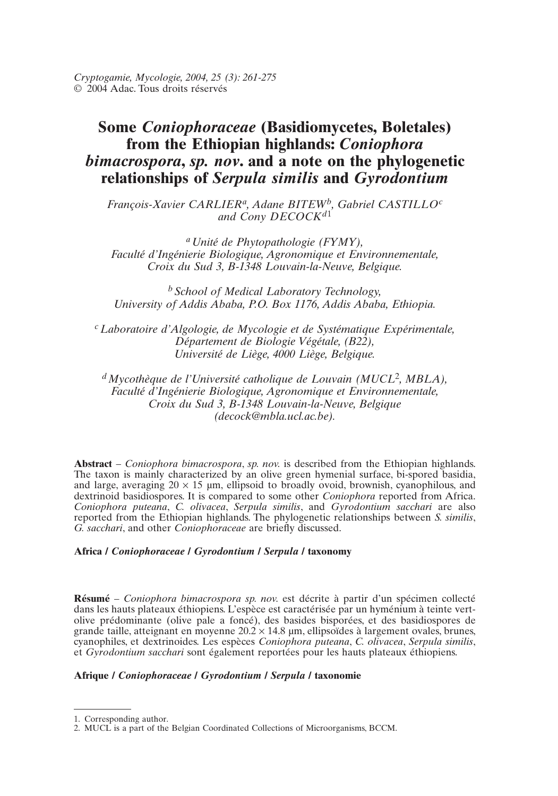*Cryptogamie, Mycologie, 2004, 25 (3): 261-275* © 2004 Adac. Tous droits réservés

# **Some** *Coniophoraceae* **(Basidiomycetes, Boletales) from the Ethiopian highlands:** *Coniophora bimacrospora***,** *sp. nov***. and a note on the phylogenetic relationships of** *Serpula similis* **and** *Gyrodontium*

*François-Xavier CARLIERa, Adane BITEWb, Gabriel CASTILLOc and Cony DECOCKd*<sup>1</sup>

*aUnité de Phytopathologie (FYMY), Faculté d'Ingénierie Biologique, Agronomique et Environnementale, Croix du Sud 3, B-1348 Louvain-la-Neuve, Belgique.*

*<sup>b</sup> School of Medical Laboratory Technology, University of Addis Ababa, P.O. Box 1176, Addis Ababa, Ethiopia.*

*cLaboratoire d'Algologie, de Mycologie et de Systématique Expérimentale, Département de Biologie Végétale, (B22), Université de Liège, 4000 Liège, Belgique.*

*dMycothèque de l'Université catholique de Louvain (MUCL*<sup>2</sup>*, MBLA), Faculté d'Ingénierie Biologique, Agronomique et Environnementale, Croix du Sud 3, B-1348 Louvain-la-Neuve, Belgique (decock@mbla.ucl.ac.be).*

**Abstract** – *Coniophora bimacrospora*, *sp. nov.* is described from the Ethiopian highlands. The taxon is mainly characterized by an olive green hymenial surface, bi-spored basidia, and large, averaging  $20 \times 15$  µm, ellipsoid to broadly ovoid, brownish, cyanophilous, and dextrinoid basidiospores. It is compared to some other *Coniophora* reported from Africa. *Coniophora puteana*, *C. olivacea*, *Serpula similis*, and *Gyrodontium sacchari* are also reported from the Ethiopian highlands. The phylogenetic relationships between *S. similis*, *G. sacchari*, and other *Coniophoraceae* are briefly discussed.

# **Africa /** *Coniophoraceae* **/** *Gyrodontium* **/** *Serpula* **/ taxonomy**

**Résumé** – *Coniophora bimacrospora sp. nov.* est décrite à partir d'un spécimen collecté dans les hauts plateaux éthiopiens. L'espèce est caractérisée par un hyménium à teinte vertolive prédominante (olive pale a foncé), des basides bisporées, et des basidiospores de grande taille, atteignant en moyenne  $20.2 \times 14.8$  µm, ellipsoïdes à largement ovales, brunes, cyanophiles, et dextrinoides. Les espèces *Coniophora puteana*, *C. olivacea*, *Serpula similis*, et *Gyrodontium sacchari* sont également reportées pour les hauts plateaux éthiopiens.

# **Afrique /** *Coniophoraceae* **/** *Gyrodontium* **/** *Serpula* **/ taxonomie**

<sup>1.</sup> Corresponding author.

<sup>2.</sup> MUCL is a part of the Belgian Coordinated Collections of Microorganisms, BCCM.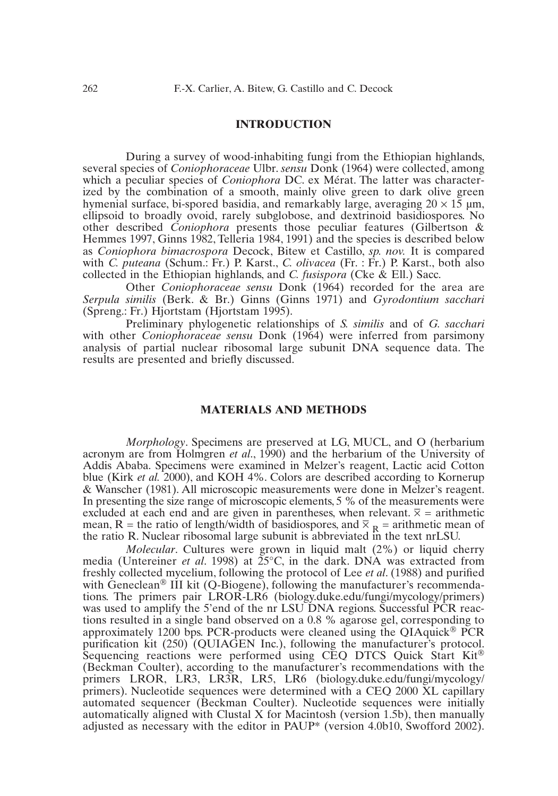## **INTRODUCTION**

During a survey of wood-inhabiting fungi from the Ethiopian highlands, several species of *Coniophoraceae* Ulbr. *sensu* Donk (1964) were collected, among which a peculiar species of *Coniophora* DC. ex Mérat. The latter was characterized by the combination of a smooth, mainly olive green to dark olive green hymenial surface, bi-spored basidia, and remarkably large, averaging  $20 \times 15$  µm, ellipsoid to broadly ovoid, rarely subglobose, and dextrinoid basidiospores. No other described *Coniophora* presents those peculiar features (Gilbertson & Hemmes 1997, Ginns 1982, Telleria 1984, 1991) and the species is described below as *Coniophora bimacrospora* Decock, Bitew et Castillo, *sp. nov.* It is compared with *C. puteana* (Schum.: Fr.) P. Karst., *C. olivacea* (Fr. : Fr.) P. Karst., both also collected in the Ethiopian highlands, and *C. fusispora* (Cke & Ell.) Sacc.

Other *Coniophoraceae sensu* Donk (1964) recorded for the area are *Serpula similis* (Berk. & Br.) Ginns (Ginns 1971) and *Gyrodontium sacchari* (Spreng.: Fr.) Hjortstam (Hjortstam 1995).

Preliminary phylogenetic relationships of *S. similis* and of *G. sacchari* with other *Coniophoraceae sensu* Donk (1964) were inferred from parsimony analysis of partial nuclear ribosomal large subunit DNA sequence data. The results are presented and briefly discussed.

## **MATERIALS AND METHODS**

*Morphology*. Specimens are preserved at LG, MUCL, and O (herbarium acronym are from Holmgren *et al*., 1990) and the herbarium of the University of Addis Ababa. Specimens were examined in Melzer's reagent, Lactic acid Cotton blue (Kirk *et al.* 2000), and KOH 4%. Colors are described according to Kornerup & Wanscher (1981). All microscopic measurements were done in Melzer's reagent. In presenting the size range of microscopic elements, 5 % of the measurements were  $\alpha$  excluded at each end and are given in parentheses, when relevant.  $\overline{x}$  = arithmetic mean, R = the ratio of length/width of basidiospores, and  $\overline{X}_R$  = arithmetic mean of the ratio R. Nuclear ribosomal large subunit is abbreviated in the text nrLSU.

*Molecular*. Cultures were grown in liquid malt (2%) or liquid cherry media (Untereiner *et al*. 1998) at 25°C, in the dark. DNA was extracted from freshly collected mycelium, following the protocol of Lee *et al*. (1988) and purified with Geneclean<sup>®</sup> III kit (Q-Biogene), following the manufacturer's recommendations. The primers pair LROR-LR6 (biology.duke.edu/fungi/mycology/primers) was used to amplify the 5'end of the nr LSU DNA regions. Successful PCR reactions resulted in a single band observed on a 0.8 % agarose gel, corresponding to approximately 1200 bps. PCR-products were cleaned using the QIAquick<sup>®</sup> PCR purification kit (250) (QUIAGEN Inc.), following the manufacturer's protocol. Sequencing reactions were performed using CEQ DTCS Quick Start Kit<sup>®</sup> (Beckman Coulter), according to the manufacturer's recommendations with the primers LROR, LR3, LR3R, LR5, LR6 (biology.duke.edu/fungi/mycology/ primers). Nucleotide sequences were determined with a CEQ 2000 XL capillary automated sequencer (Beckman Coulter). Nucleotide sequences were initially automatically aligned with Clustal X for Macintosh (version 1.5b), then manually adjusted as necessary with the editor in PAUP\* (version 4.0b10, Swofford 2002).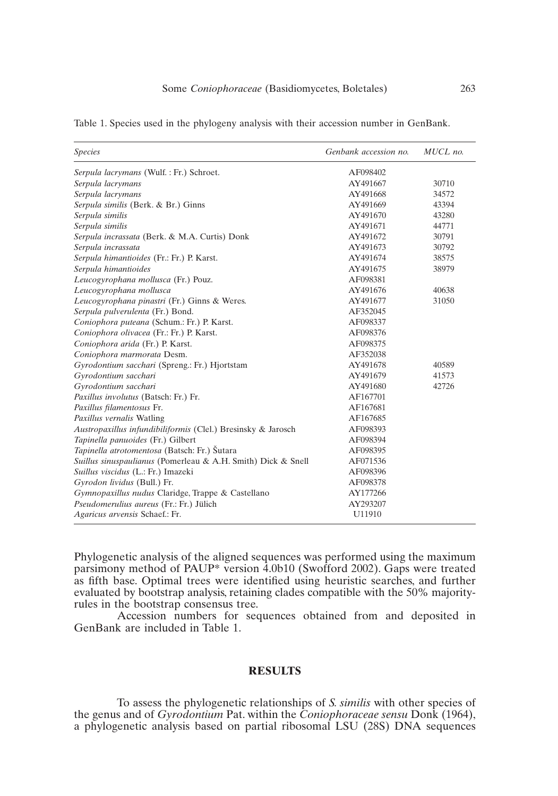| <i>Species</i>                                               | Genbank accession no. | MUCL no. |
|--------------------------------------------------------------|-----------------------|----------|
| Serpula lacrymans (Wulf.: Fr.) Schroet.                      | AF098402              |          |
| Serpula lacrymans                                            | AY491667              | 30710    |
| Serpula lacrymans                                            | AY491668              | 34572    |
| Serpula similis (Berk. & Br.) Ginns                          | AY491669              | 43394    |
| Serpula similis                                              | AY491670              | 43280    |
| Serpula similis                                              | AY491671              | 44771    |
| Serpula incrassata (Berk. & M.A. Curtis) Donk                | AY491672              | 30791    |
| Serpula incrassata                                           | AY491673              | 30792    |
| Serpula himantioides (Fr.: Fr.) P. Karst.                    | AY491674              | 38575    |
| Serpula himantioides                                         | AY491675              | 38979    |
| Leucogyrophana mollusca (Fr.) Pouz.                          | AF098381              |          |
| Leucogyrophana mollusca                                      | AY491676              | 40638    |
| Leucogyrophana pinastri (Fr.) Ginns & Weres.                 | AY491677              | 31050    |
| Serpula pulverulenta (Fr.) Bond.                             | AF352045              |          |
| Coniophora puteana (Schum.: Fr.) P. Karst.                   | AF098337              |          |
| Coniophora olivacea (Fr.: Fr.) P. Karst.                     | AF098376              |          |
| Coniophora arida (Fr.) P. Karst.                             | AF098375              |          |
| Coniophora marmorata Desm.                                   | AF352038              |          |
| Gyrodontium sacchari (Spreng.: Fr.) Hjortstam                | AY491678              | 40589    |
| Gyrodontium sacchari                                         | AY491679              | 41573    |
| Gyrodontium sacchari                                         | AY491680              | 42726    |
| Paxillus involutus (Batsch: Fr.) Fr.                         | AF167701              |          |
| Paxillus filamentosus Fr.                                    | AF167681              |          |
| Paxillus vernalis Watling                                    | AF167685              |          |
| Austropaxillus infundibiliformis (Clel.) Bresinsky & Jarosch | AF098393              |          |
| Tapinella panuoides (Fr.) Gilbert                            | AF098394              |          |
| Tapinella atrotomentosa (Batsch: Fr.) Šutara                 | AF098395              |          |
| Suillus sinuspaulianus (Pomerleau & A.H. Smith) Dick & Snell | AF071536              |          |
| Suillus viscidus (L.: Fr.) Imazeki                           | AF098396              |          |
| Gyrodon lividus (Bull.) Fr.                                  | AF098378              |          |
| Gymnopaxillus nudus Claridge, Trappe & Castellano            | AY177266              |          |
| Pseudomerulius aureus (Fr.: Fr.) Jülich                      | AY293207              |          |
| Agaricus arvensis Schaef.: Fr.                               | U11910                |          |

Table 1. Species used in the phylogeny analysis with their accession number in GenBank.

Phylogenetic analysis of the aligned sequences was performed using the maximum parsimony method of PAUP\* version 4.0b10 (Swofford 2002). Gaps were treated as fifth base. Optimal trees were identified using heuristic searches, and further evaluated by bootstrap analysis, retaining clades compatible with the 50% majorityrules in the bootstrap consensus tree.

Accession numbers for sequences obtained from and deposited in GenBank are included in Table 1.

# **RESULTS**

To assess the phylogenetic relationships of *S. similis* with other species of the genus and of *Gyrodontium* Pat. within the *Coniophoraceae sensu* Donk (1964), a phylogenetic analysis based on partial ribosomal LSU (28S) DNA sequences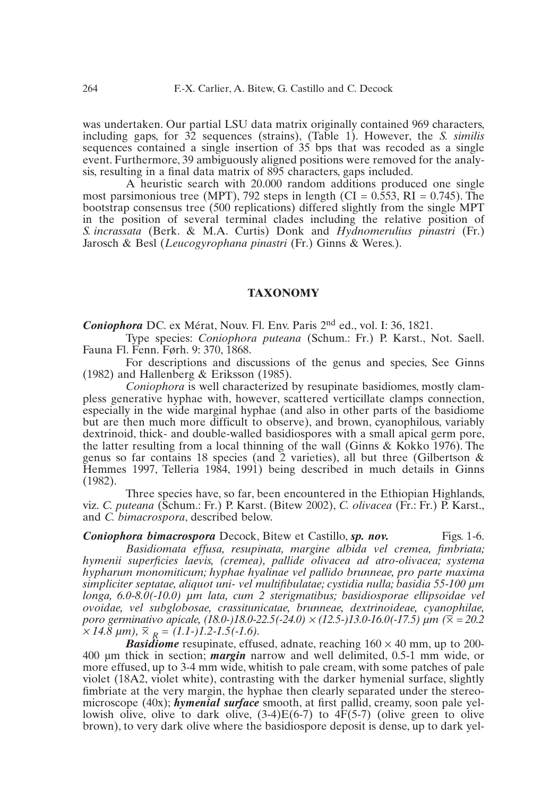was undertaken. Our partial LSU data matrix originally contained 969 characters, including gaps, for 32 sequences (strains), (Table 1). However, the *S. similis* sequences contained a single insertion of 35 bps that was recoded as a single event. Furthermore, 39 ambiguously aligned positions were removed for the analysis, resulting in a final data matrix of 895 characters, gaps included.

A heuristic search with 20.000 random additions produced one single most parsimonious tree (MPT), 792 steps in length (CI =  $0.553$ , RI =  $0.745$ ). The bootstrap consensus tree (500 replications) differed slightly from the single MPT in the position of several terminal clades including the relative position of *S. incrassata* (Berk. & M.A. Curtis) Donk and *Hydnomerulius pinastri* (Fr.) Jarosch & Besl (*Leucogyrophana pinastri* (Fr.) Ginns & Weres.).

## **TAXONOMY**

*Coniophora* DC. ex Mérat, Nouv. Fl. Env. Paris 2nd ed., vol. I: 36, 1821.

Type species: *Coniophora puteana* (Schum.: Fr.) P. Karst., Not. Saell. Fauna Fl. Fenn. Førh. 9: 370, 1868.

For descriptions and discussions of the genus and species, See Ginns (1982) and Hallenberg & Eriksson (1985).

*Coniophora* is well characterized by resupinate basidiomes, mostly clampless generative hyphae with, however, scattered verticillate clamps connection, especially in the wide marginal hyphae (and also in other parts of the basidiome but are then much more difficult to observe), and brown, cyanophilous, variably dextrinoid, thick- and double-walled basidiospores with a small apical germ pore, the latter resulting from a local thinning of the wall (Ginns & Kokko 1976). The genus so far contains 18 species (and 2 varieties), all but three (Gilbertson & Hemmes 1997, Telleria 1984, 1991) being described in much details in Ginns (1982).

Three species have, so far, been encountered in the Ethiopian Highlands, viz. *C. puteana* (Schum.: Fr.) P. Karst. (Bitew 2002), *C. olivacea* (Fr.: Fr.) P. Karst., and *C. bimacrospora*, described below.

**Coniophora bimacrospora** Decock, Bitew et Castillo, sp. nov. Figs. 1-6. *Basidiomata effusa, resupinata, margine albida vel cremea, fimbriata; hymenii superficies laevis, (cremea), pallide olivacea ad atro-olivacea; systema hypharum monomiticum; hyphae hyalinae vel pallido brunneae, pro parte maxima simpliciter septatae, aliquot uni- vel multifibulatae; cystidia nulla; basidia 55-100 µm longa, 6.0-8.0(-10.0) µm lata, cum 2 sterigmatibus; basidiosporae ellipsoidae vel ovoidae, vel subglobosae, crassitunicatae, brunneae, dextrinoideae, cyanophilae, poro germinativo apicale, (18.0-)18.0-22.5(-24.0) × (12.5-)13.0-16.0(-17.5) µm (₹ = 20.2*  $\times$  14.8  $\mu$ m),  $\overline{\times}_{R} = (1.1-)1.2-1.5(-1.6).$ 

*Basidiome* resupinate, effused, adnate, reaching  $160 \times 40$  mm, up to 200-400 µm thick in section; *margin* narrow and well delimited, 0.5-1 mm wide, or more effused, up to 3-4 mm wide, whitish to pale cream, with some patches of pale violet (18A2, violet white), contrasting with the darker hymenial surface, slightly fimbriate at the very margin, the hyphae then clearly separated under the stereomicroscope (40x); *hymenial surface* smooth, at first pallid, creamy, soon pale yellowish olive, olive to dark olive,  $(3-4)E(6-7)$  to  $4F(5-7)$  (olive green to olive brown), to very dark olive where the basidiospore deposit is dense, up to dark yel-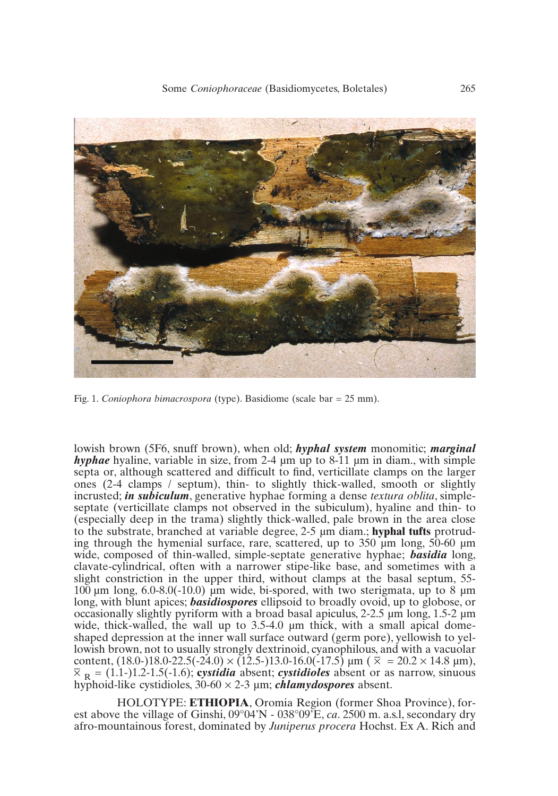

Fig. 1. *Coniophora bimacrospora* (type). Basidiome (scale bar = 25 mm).

lowish brown (5F6, snuff brown), when old; *hyphal system* monomitic; *marginal hyphae* hyaline, variable in size, from 2-4 µm up to 8-11 µm in diam., with simple septa or, although scattered and difficult to find, verticillate clamps on the larger ones (2-4 clamps / septum), thin- to slightly thick-walled, smooth or slightly incrusted; *in subiculum*, generative hyphae forming a dense *textura oblita*, simpleseptate (verticillate clamps not observed in the subiculum), hyaline and thin- to (especially deep in the trama) slightly thick-walled, pale brown in the area close to the substrate, branched at variable degree, 2-5 µm diam.; **hyphal tufts** protruding through the hymenial surface, rare, scattered, up to  $350 \mu m$  long,  $50{\text -}60 \mu m$ wide, composed of thin-walled, simple-septate generative hyphae; *basidia* long, clavate-cylindrical, often with a narrower stipe-like base, and sometimes with a slight constriction in the upper third, without clamps at the basal septum, 55- 100  $\mu$ m long, 6.0-8.0(-10.0)  $\mu$ m wide, bi-spored, with two sterigmata, up to 8  $\mu$ m long, with blunt apices; *basidiospores* ellipsoid to broadly ovoid, up to globose, or occasionally slightly pyriform with a broad basal apiculus,  $2-2.5 \mu m$  long,  $1.5-2 \mu m$ wide, thick-walled, the wall up to 3.5-4.0  $\mu$ m thick, with a small apical domeshaped depression at the inner wall surface outward (germ pore), yellowish to yellowish brown, not to usually strongly dextrinoid, cyanophilous, and with a vacuolar  $\frac{1}{2}$  content, (18.0−)18.0−22.5(−24.0) × (12.5−)13.0−16.0(−17.5) μm ( $\bar{x}$  = 20.2 × 14.8 μm),  $\overline{X}_{\text{R}} = (1.1-1.2-1.5(-1.6))$ ; **cystidia** absent; *cystidioles* absent or as narrow, sinuous hyphoid-like cystidioles, 30-60 × 2-3 µm; *chlamydospores* absent.

HOLOTYPE: **ETHIOPIA**, Oromia Region (former Shoa Province), forest above the village of Ginshi, 09°04'N - 038°09'E, *ca*. 2500 m. a.s.l, secondary dry afro-mountainous forest, dominated by *Juniperus procera* Hochst. Ex A. Rich and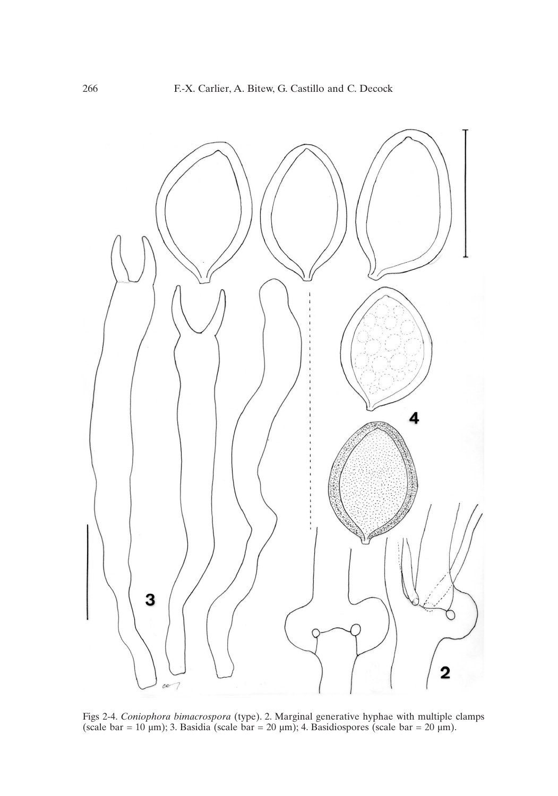

Figs 2-4. *Coniophora bimacrospora* (type). 2. Marginal generative hyphae with multiple clamps (scale bar = 10  $\mu$ m); 3. Basidia (scale bar = 20  $\mu$ m); 4. Basidiospores (scale bar = 20  $\mu$ m).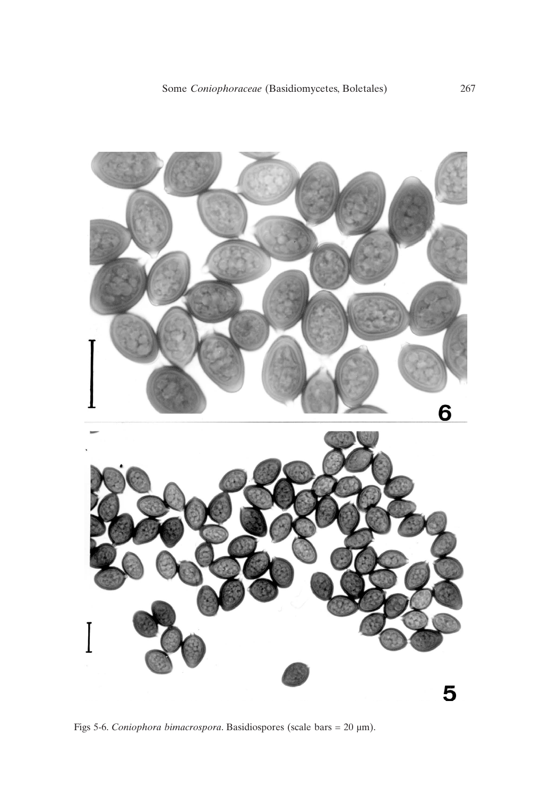

Figs 5-6. *Coniophora bimacrospora*. Basidiospores (scale bars = 20 µm).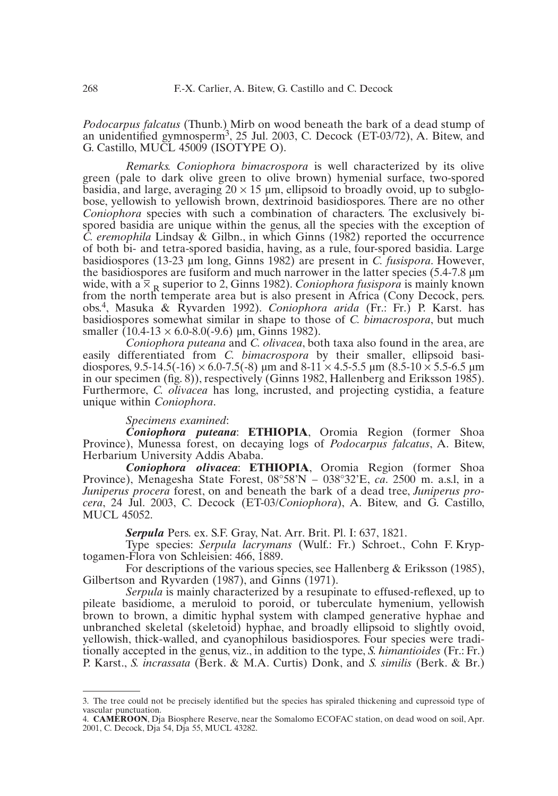*Podocarpus falcatus* (Thunb.) Mirb on wood beneath the bark of a dead stump of an unidentified gymnosperm3, 25 Jul. 2003, C. Decock (ET-03/72), A. Bitew, and G. Castillo, MUCL 45009 (ISOTYPE O).

*Remarks. Coniophora bimacrospora* is well characterized by its olive green (pale to dark olive green to olive brown) hymenial surface, two-spored basidia, and large, averaging  $20 \times 15$  µm, ellipsoid to broadly ovoid, up to subglobose, yellowish to yellowish brown, dextrinoid basidiospores. There are no other *Coniophora* species with such a combination of characters. The exclusively bispored basidia are unique within the genus, all the species with the exception of *C. eremophila* Lindsay & Gilbn., in which Ginns (1982) reported the occurrence of both bi- and tetra-spored basidia, having, as a rule, four-spored basidia. Large basidiospores (13-23 µm long, Ginns 1982) are present in *C. fusispora*. However, the basidiospores are fusiform and much narrower in the latter species (5.4-7.8 µm wide, with a  $\overline{X}_{R}$  superior to 2, Ginns 1982). *Coniophora fusispora* is mainly known from the north temperate area but is also present in Africa (Cony Decock, pers. obs.4, Masuka & Ryvarden 1992). *Coniophora arida* (Fr.: Fr.) P. Karst. has basidiospores somewhat similar in shape to those of *C. bimacrospora*, but much smaller  $(10.4-13 \times 6.0-8.0(-9.6) \mu m, \text{Ginns } 1982)$ .

*Coniophora puteana* and *C. olivacea*, both taxa also found in the area, are easily differentiated from *C. bimacrospora* by their smaller, ellipsoid basidiospores, 9.5-14.5(-16)  $\times$  6.0-7.5(-8) µm and 8-11  $\times$  4.5-5.5 µm (8.5-10  $\times$  5.5-6.5 µm in our specimen (fig. 8)), respectively (Ginns 1982, Hallenberg and Eriksson 1985). Furthermore, *C. olivacea* has long, incrusted, and projecting cystidia, a feature unique within *Coniophora*.

#### *Specimens examined*:

*Coniophora puteana*: **ETHIOPIA**, Oromia Region (former Shoa Province), Munessa forest, on decaying logs of *Podocarpus falcatus*, A. Bitew, Herbarium University Addis Ababa.

*Coniophora olivacea*: **ETHIOPIA**, Oromia Region (former Shoa Province), Menagesha State Forest, 08°58'N – 038°32'E, *ca*. 2500 m. a.s.l, in a *Juniperus procera* forest, on and beneath the bark of a dead tree, *Juniperus procera*, 24 Jul. 2003, C. Decock (ET-03/*Coniophora*), A. Bitew, and G. Castillo, MUCL 45052.

*Serpula* Pers. ex. S.F. Gray, Nat. Arr. Brit. Pl. I: 637, 1821.

Type species: *Serpula lacrymans* (Wulf.: Fr.) Schroet., Cohn F. Kryptogamen-Flora von Schleisien: 466, 1889.

For descriptions of the various species, see Hallenberg & Eriksson (1985), Gilbertson and Ryvarden (1987), and Ginns (1971).

*Serpula* is mainly characterized by a resupinate to effused-reflexed, up to pileate basidiome, a meruloid to poroid, or tuberculate hymenium, yellowish brown to brown, a dimitic hyphal system with clamped generative hyphae and unbranched skeletal (skeletoid) hyphae, and broadly ellipsoid to slightly ovoid, yellowish, thick-walled, and cyanophilous basidiospores. Four species were traditionally accepted in the genus, viz., in addition to the type, *S. himantioides* (Fr.: Fr.) P. Karst., *S. incrassata* (Berk. & M.A. Curtis) Donk, and *S. similis* (Berk. & Br.)

<sup>3.</sup> The tree could not be precisely identified but the species has spiraled thickening and cupressoid type of vascular punctuation.

<sup>4.</sup> **CAMEROON**, Dja Biosphere Reserve, near the Somalomo ECOFAC station, on dead wood on soil, Apr. 2001, C. Decock, Dja 54, Dja 55, MUCL 43282.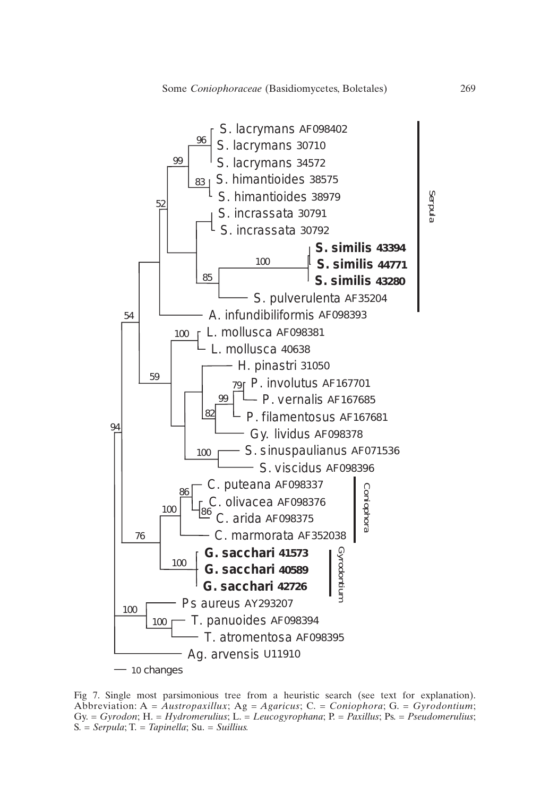

Fig 7. Single most parsimonious tree from a heuristic search (see text for explanation). Abbreviation: A = *Austropaxillux*; Ag *= Agaricus*; C. *= Coniophora*; G. *= Gyrodontium*; Gy. *= Gyrodon*; H. *= Hydromerulius*; L. *= Leucogyrophana*; P. *= Paxillus*; Ps. *= Pseudomerulius*; S*. = Serpula*; T. *= Tapinella*; Su. *= Suillius.*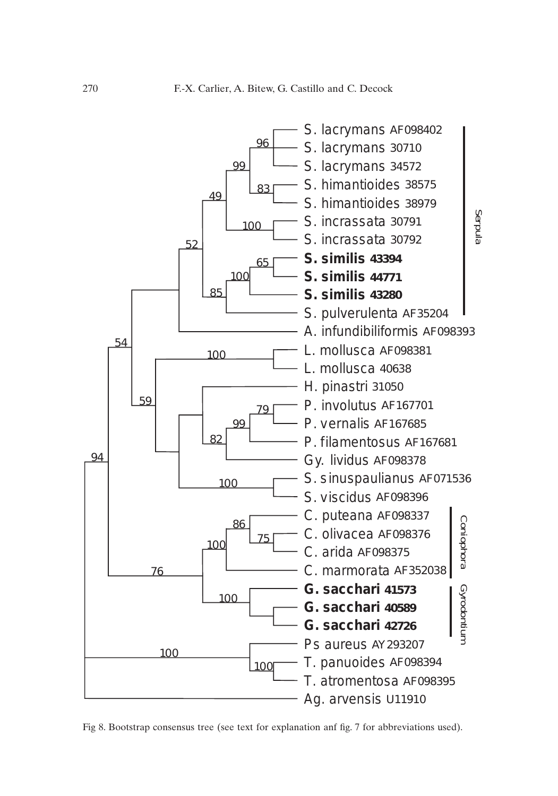

Fig 8. Bootstrap consensus tree (see text for explanation anf fig. 7 for abbreviations used).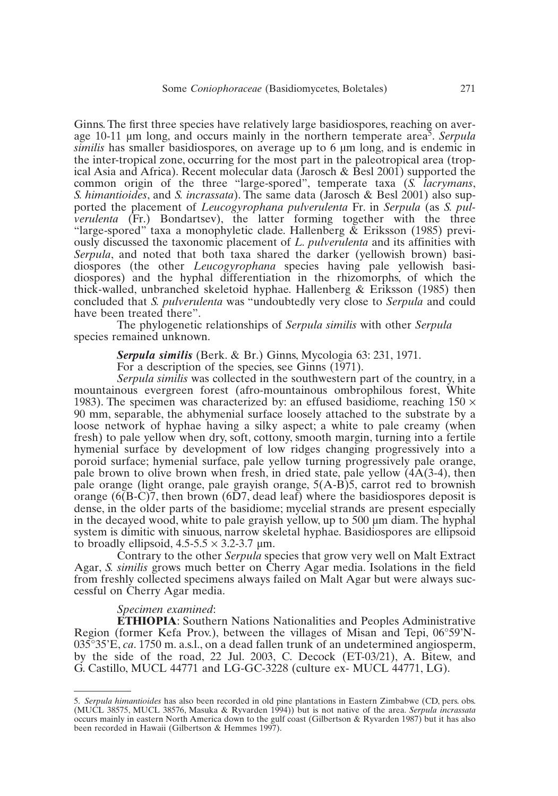Ginns. The first three species have relatively large basidiospores, reaching on average 10-11 µm long, and occurs mainly in the northern temperate area5. *Serpula similis* has smaller basidiospores, on average up to 6 um long, and is endemic in the inter-tropical zone, occurring for the most part in the paleotropical area (tropical Asia and Africa). Recent molecular data (Jarosch & Besl 2001) supported the common origin of the three "large-spored", temperate taxa (*S. lacrymans*, *S. himantioides*, and *S. incrassata*). The same data (Jarosch & Besl 2001) also supported the placement of *Leucogyrophana pulverulenta* Fr. in *Serpula* (as *S. pulverulenta* (Fr.) Bondartsev), the latter forming together with the three "large-spored" taxa a monophyletic clade. Hallenberg & Eriksson (1985) previously discussed the taxonomic placement of *L. pulverulenta* and its affinities with *Serpula*, and noted that both taxa shared the darker (yellowish brown) basidiospores (the other *Leucogyrophana* species having pale yellowish basidiospores) and the hyphal differentiation in the rhizomorphs, of which the thick-walled, unbranched skeletoid hyphae. Hallenberg  $&$  Eriksson (1985) then concluded that *S. pulverulenta* was "undoubtedly very close to *Serpula* and could have been treated there".

The phylogenetic relationships of *Serpula similis* with other *Serpula* species remained unknown.

*Serpula similis* (Berk. & Br.) Ginns, Mycologia 63: 231, 1971.

For a description of the species, see Ginns (1971).

*Serpula similis* was collected in the southwestern part of the country, in a mountainous evergreen forest (afro-mountainous ombrophilous forest, White 1983). The specimen was characterized by: an effused basidiome, reaching  $150 \times$ 90 mm, separable, the abhymenial surface loosely attached to the substrate by a loose network of hyphae having a silky aspect; a white to pale creamy (when fresh) to pale yellow when dry, soft, cottony, smooth margin, turning into a fertile hymenial surface by development of low ridges changing progressively into a poroid surface; hymenial surface, pale yellow turning progressively pale orange, pale brown to olive brown when fresh, in dried state, pale yellow  $(4A(3-4)$ , then pale orange (light orange, pale grayish orange, 5(A-B)5, carrot red to brownish orange  $(6(B-C)7$ , then brown  $(6D7, dead leaf)$  where the basidiospores deposit is dense, in the older parts of the basidiome; mycelial strands are present especially in the decayed wood, white to pale grayish yellow, up to 500 µm diam. The hyphal system is dimitic with sinuous, narrow skeletal hyphae. Basidiospores are ellipsoid to broadly ellipsoid,  $4.5-5.5 \times 3.2-3.7 \text{ µm}$ .

Contrary to the other *Serpula* species that grow very well on Malt Extract Agar, *S. similis* grows much better on Cherry Agar media. Isolations in the field from freshly collected specimens always failed on Malt Agar but were always successful on Cherry Agar media.

#### *Specimen examined*:

**ETHIOPIA**: Southern Nations Nationalities and Peoples Administrative Region (former Kefa Prov.), between the villages of Misan and Tepi, 06°59'N-035°35'E, *ca*. 1750 m. a.s.l., on a dead fallen trunk of an undetermined angiosperm, by the side of the road, 22 Jul. 2003, C. Decock (ET-03/21), A. Bitew, and G. Castillo, MUCL 44771 and LG-GC-3228 (culture ex- MUCL 44771, LG).

<sup>5.</sup> *Serpula himantioides* has also been recorded in old pine plantations in Eastern Zimbabwe (CD, pers. obs. (MUCL 38575, MUCL 38576, Masuka & Ryvarden 1994)) but is not native of the area. *Serpula incrassata* occurs mainly in eastern North America down to the gulf coast (Gilbertson & Ryvarden 1987) but it has also been recorded in Hawaii (Gilbertson & Hemmes 1997).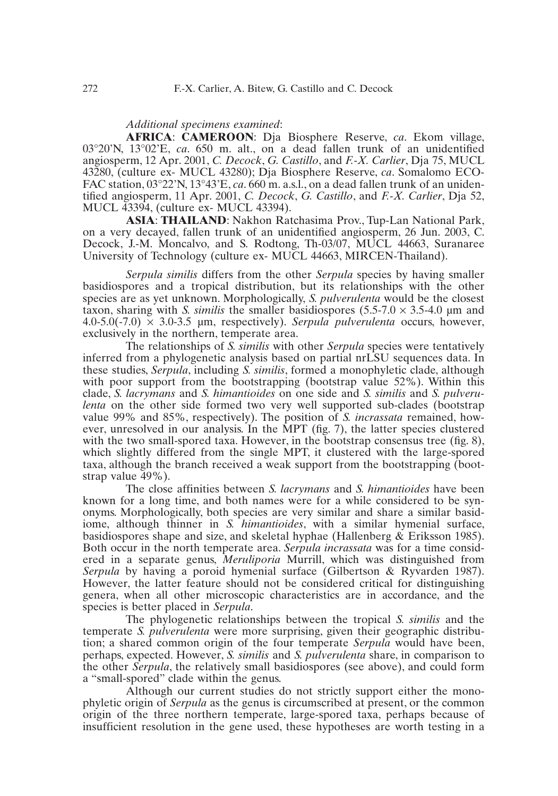## *Additional specimens examined*:

**AFRICA**: **CAMEROON**: Dja Biosphere Reserve, *ca*. Ekom village, 03°20'N, 13°02'E, *ca*. 650 m. alt., on a dead fallen trunk of an unidentified angiosperm, 12 Apr. 2001, *C. Decock*, *G. Castillo*, and *F.-X. Carlier*, Dja 75, MUCL 43280, (culture ex- MUCL 43280); Dja Biosphere Reserve, *ca*. Somalomo ECO-FAC station, 03°22'N, 13°43'E, *ca*. 660 m. a.s.l., on a dead fallen trunk of an unidentified angiosperm, 11 Apr. 2001, *C. Decock*, *G. Castillo*, and *F.-X. Carlier*, Dja 52, MUCL 43394, (culture ex- MUCL 43394).

**ASIA**: **THAILAND**: Nakhon Ratchasima Prov., Tup-Lan National Park, on a very decayed, fallen trunk of an unidentified angiosperm, 26 Jun. 2003, C. Decock, J.-M. Moncalvo, and S. Rodtong, Th-03/07, MUCL 44663, Suranaree University of Technology (culture ex- MUCL 44663, MIRCEN-Thailand).

*Serpula similis* differs from the other *Serpula* species by having smaller basidiospores and a tropical distribution, but its relationships with the other species are as yet unknown. Morphologically, *S. pulverulenta* would be the closest taxon, sharing with *S. similis* the smaller basidiospores  $(5.5\n-7.0 \times 3.5\n-4.0 \mu m$  and 4.0-5.0(-7.0) × 3.0-3.5 µm, respectively). *Serpula pulverulenta* occurs, however, exclusively in the northern, temperate area.

The relationships of *S. similis* with other *Serpula* species were tentatively inferred from a phylogenetic analysis based on partial nrLSU sequences data. In these studies, *Serpula*, including *S. similis*, formed a monophyletic clade, although with poor support from the bootstrapping (bootstrap value 52%). Within this clade, *S. lacrymans* and *S. himantioides* on one side and *S. similis* and *S. pulverulenta* on the other side formed two very well supported sub-clades (bootstrap value 99% and 85%, respectively). The position of *S. incrassata* remained, however, unresolved in our analysis. In the MPT (fig. 7), the latter species clustered with the two small-spored taxa. However, in the bootstrap consensus tree (fig. 8), which slightly differed from the single MPT, it clustered with the large-spored taxa, although the branch received a weak support from the bootstrapping (bootstrap value 49%).

The close affinities between *S. lacrymans* and *S. himantioides* have been known for a long time, and both names were for a while considered to be synonyms. Morphologically, both species are very similar and share a similar basidiome, although thinner in *S. himantioides*, with a similar hymenial surface, basidiospores shape and size, and skeletal hyphae (Hallenberg & Eriksson 1985). Both occur in the north temperate area. *Serpula incrassata* was for a time considered in a separate genus, *Meruliporia* Murrill, which was distinguished from *Serpula* by having a poroid hymenial surface (Gilbertson & Ryvarden 1987). However, the latter feature should not be considered critical for distinguishing genera, when all other microscopic characteristics are in accordance, and the species is better placed in *Serpula*.

The phylogenetic relationships between the tropical *S. similis* and the temperate *S. pulverulenta* were more surprising, given their geographic distribution; a shared common origin of the four temperate *Serpula* would have been, perhaps, expected. However, *S. similis* and *S. pulverulenta* share, in comparison to the other *Serpula*, the relatively small basidiospores (see above), and could form a "small-spored" clade within the genus.

Although our current studies do not strictly support either the monophyletic origin of *Serpula* as the genus is circumscribed at present, or the common origin of the three northern temperate, large-spored taxa, perhaps because of insufficient resolution in the gene used, these hypotheses are worth testing in a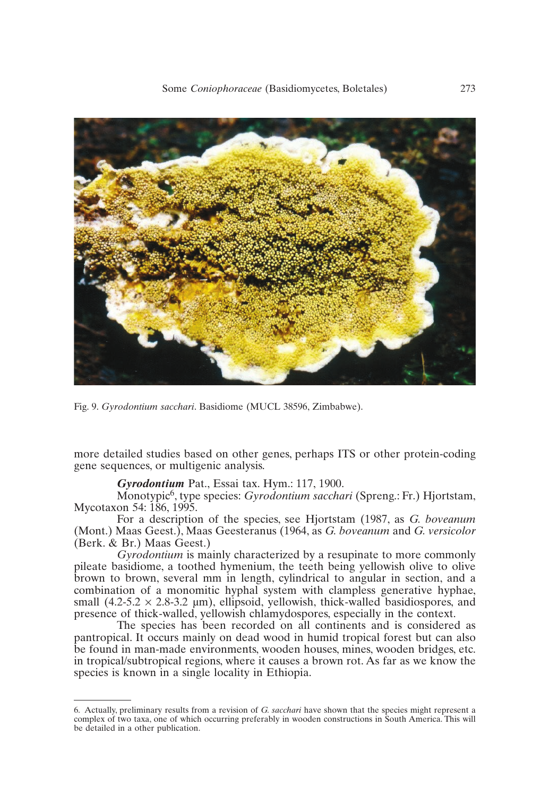

Fig. 9. *Gyrodontium sacchari*. Basidiome (MUCL 38596, Zimbabwe).

more detailed studies based on other genes, perhaps ITS or other protein-coding gene sequences, or multigenic analysis.

#### *Gyrodontium* Pat., Essai tax. Hym.: 117, 1900.

Monotypic6, type species: *Gyrodontium sacchari* (Spreng.: Fr.) Hjortstam, Mycotaxon 54: 186, 1995.

For a description of the species, see Hjortstam (1987, as *G. boveanum* (Mont.) Maas Geest.), Maas Geesteranus (1964, as *G. boveanum* and *G. versicolor* (Berk. & Br.) Maas Geest.)

*Gyrodontium* is mainly characterized by a resupinate to more commonly pileate basidiome, a toothed hymenium, the teeth being yellowish olive to olive brown to brown, several mm in length, cylindrical to angular in section, and a combination of a monomitic hyphal system with clampless generative hyphae, small (4.2-5.2  $\times$  2.8-3.2 µm), ellipsoid, yellowish, thick-walled basidiospores, and presence of thick-walled, yellowish chlamydospores, especially in the context.

The species has been recorded on all continents and is considered as pantropical. It occurs mainly on dead wood in humid tropical forest but can also be found in man-made environments, wooden houses, mines, wooden bridges, etc. in tropical/subtropical regions, where it causes a brown rot. As far as we know the species is known in a single locality in Ethiopia.

<sup>6.</sup> Actually, preliminary results from a revision of *G. sacchari* have shown that the species might represent a complex of two taxa, one of which occurring preferably in wooden constructions in South America. This will be detailed in a other publication.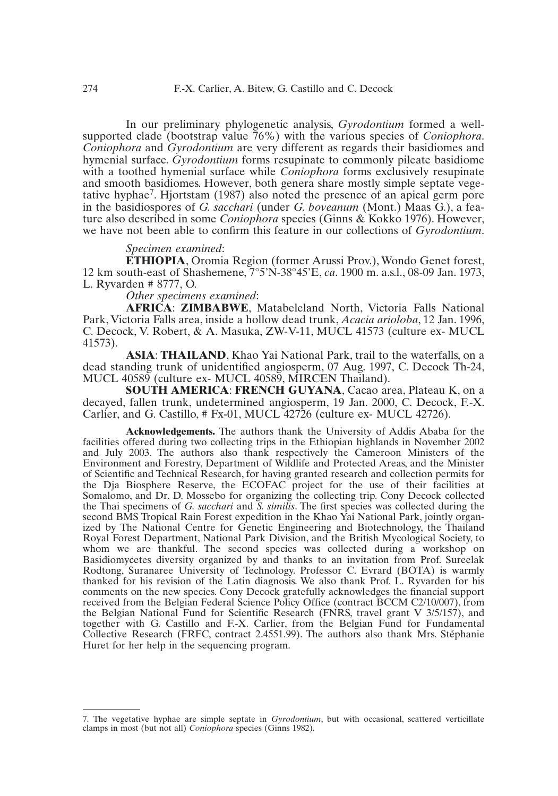In our preliminary phylogenetic analysis, *Gyrodontium* formed a wellsupported clade (bootstrap value 76%) with the various species of *Coniophora*. *Coniophora* and *Gyrodontium* are very different as regards their basidiomes and hymenial surface. *Gyrodontium* forms resupinate to commonly pileate basidiome with a toothed hymenial surface while *Coniophora* forms exclusively resupinate and smooth basidiomes. However, both genera share mostly simple septate vegetative hyphae7. Hjortstam (1987) also noted the presence of an apical germ pore in the basidiospores of *G. sacchari* (under *G. boveanum* (Mont.) Maas G.), a feature also described in some *Coniophora* species (Ginns & Kokko 1976). However, we have not been able to confirm this feature in our collections of *Gyrodontium*.

#### *Specimen examined*:

**ETHIOPIA**, Oromia Region (former Arussi Prov.), Wondo Genet forest, 12 km south-east of Shashemene, 7°5'N-38°45'E, *ca*. 1900 m. a.s.l., 08-09 Jan. 1973, L. Ryvarden # 8777, O.

*Other specimens examined*:

**AFRICA**: **ZIMBABWE**, Matabeleland North, Victoria Falls National Park, Victoria Falls area, inside a hollow dead trunk, *Acacia arioloba*, 12 Jan. 1996, C. Decock, V. Robert, & A. Masuka, ZW-V-11, MUCL 41573 (culture ex- MUCL 41573).

**ASIA**: **THAILAND**, Khao Yai National Park, trail to the waterfalls, on a dead standing trunk of unidentified angiosperm, 07 Aug. 1997, C. Decock Th-24, MUCL 40589 (culture ex- MUCL 40589, MIRCEN Thailand).

**SOUTH AMERICA**: **FRENCH GUYANA**, Cacao area, Plateau K, on a decayed, fallen trunk, undetermined angiosperm, 19 Jan. 2000, C. Decock, F.-X. Carlier, and G. Castillo, # Fx-01, MUCL 42726 (culture ex- MUCL 42726).

**Acknowledgements.** The authors thank the University of Addis Ababa for the facilities offered during two collecting trips in the Ethiopian highlands in November 2002 and July 2003. The authors also thank respectively the Cameroon Ministers of the Environment and Forestry, Department of Wildlife and Protected Areas, and the Minister of Scientific and Technical Research, for having granted research and collection permits for the Dja Biosphere Reserve, the ECOFAC project for the use of their facilities at Somalomo, and Dr. D. Mossebo for organizing the collecting trip. Cony Decock collected the Thai specimens of *G. sacchari* and *S. similis*. The first species was collected during the second BMS Tropical Rain Forest expedition in the Khao Yai National Park, jointly organized by The National Centre for Genetic Engineering and Biotechnology, the Thailand Royal Forest Department, National Park Division, and the British Mycological Society, to whom we are thankful. The second species was collected during a workshop on Basidiomycetes diversity organized by and thanks to an invitation from Prof. Sureelak Rodtong, Suranaree University of Technology. Professor C. Evrard (BOTA) is warmly thanked for his revision of the Latin diagnosis. We also thank Prof. L. Ryvarden for his comments on the new species. Cony Decock gratefully acknowledges the financial support received from the Belgian Federal Science Policy Office (contract BCCM C2/10/007), from the Belgian National Fund for Scientific Research (FNRS, travel grant V 3/5/157), and together with G. Castillo and F.-X. Carlier, from the Belgian Fund for Fundamental Collective Research (FRFC, contract 2.4551.99). The authors also thank Mrs. Stéphanie Huret for her help in the sequencing program.

<sup>7.</sup> The vegetative hyphae are simple septate in *Gyrodontium*, but with occasional, scattered verticillate clamps in most (but not all) *Coniophora* species (Ginns 1982).